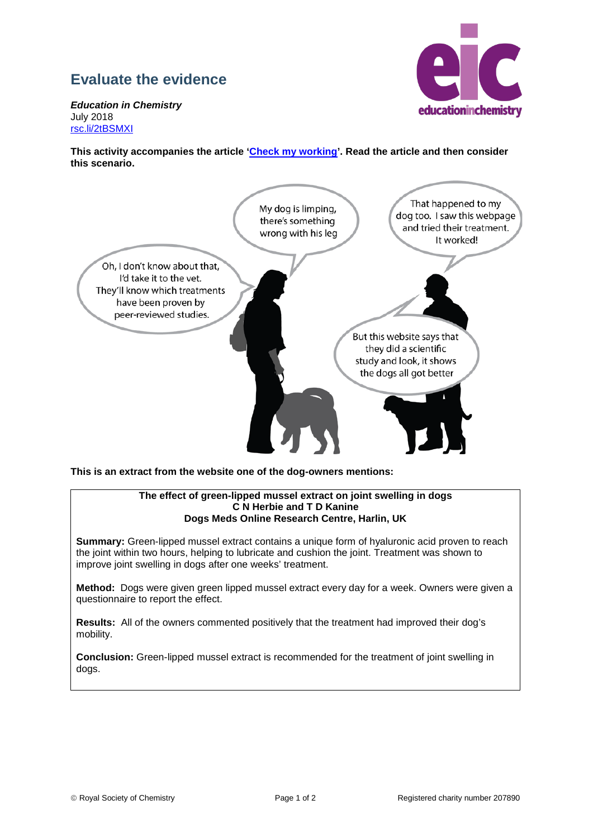## **Evaluate the evidence**

educationinchemistry

*Education in Chemistry* July 2018 [rsc.li/2tBSMXI](http://rsc.li/2tBSMXI)

**This activity accompanies the article ['Check my working'](http://rsc.li/2tBSMXI). Read the article and then consider this scenario.**



**This is an extract from the website one of the dog-owners mentions:**

## **The effect of green-lipped mussel extract on joint swelling in dogs C N Herbie and T D Kanine Dogs Meds Online Research Centre, Harlin, UK**

**Summary:** Green-lipped mussel extract contains a unique form of hyaluronic acid proven to reach the joint within two hours, helping to lubricate and cushion the joint. Treatment was shown to improve joint swelling in dogs after one weeks' treatment.

**Method:** Dogs were given green lipped mussel extract every day for a week. Owners were given a questionnaire to report the effect.

**Results:** All of the owners commented positively that the treatment had improved their dog's mobility.

**Conclusion:** Green-lipped mussel extract is recommended for the treatment of joint swelling in dogs.